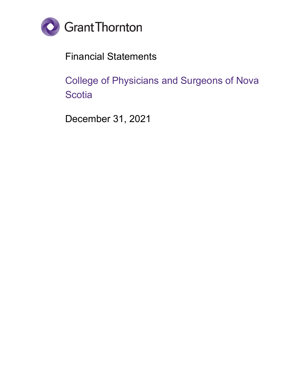

Financial Statements

College of Physicians and Surgeons of Nova **Scotia** 

December 31, 2021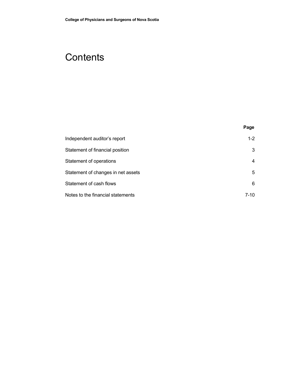# **Contents**

|                                    | Page    |
|------------------------------------|---------|
| Independent auditor's report       | $1 - 2$ |
| Statement of financial position    | 3       |
| Statement of operations            | 4       |
| Statement of changes in net assets | 5       |
| Statement of cash flows            | 6       |
| Notes to the financial statements  | 7-10    |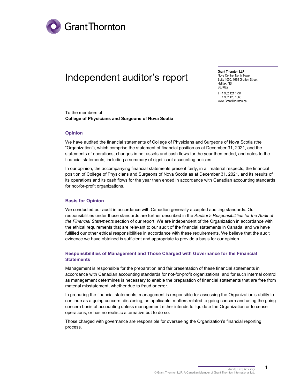

## Independent auditor's report

**Grant Thornton LLP** Nova Centre, North Tower Suite 1000, 1675 Grafton Street Halifax, NS B3J 0E9 T +1 902 421 1734 F +1 902 420 1068 www.GrantThornton.ca

To the members of **College of Physicians and Surgeons of Nova Scotia**

#### **Opinion**

We have audited the financial statements of College of Physicians and Surgeons of Nova Scotia (the "Organization"), which comprise the statement of financial position as at December 31, 2021, and the statements of operations, changes in net assets and cash flows for the year then ended, and notes to the financial statements, including a summary of significant accounting policies.

In our opinion, the accompanying financial statements present fairly, in all material respects, the financial position of College of Physicians and Surgeons of Nova Scotia as at December 31, 2021, and its results of its operations and its cash flows for the year then ended in accordance with Canadian accounting standards for not-for-profit organizations.

#### **Basis for Opinion**

We conducted our audit in accordance with Canadian generally accepted auditing standards. Our responsibilities under those standards are further described in the *Auditor's Responsibilities for the Audit of the Financial Statements* section of our report. We are independent of the Organization in accordance with the ethical requirements that are relevant to our audit of the financial statements in Canada, and we have fulfilled our other ethical responsibilities in accordance with these requirements. We believe that the audit evidence we have obtained is sufficient and appropriate to provide a basis for our opinion.

#### **Responsibilities of Management and Those Charged with Governance for the Financial Statements**

Management is responsible for the preparation and fair presentation of these financial statements in accordance with Canadian accounting standards for not-for-profit organizations, and for such internal control as management determines is necessary to enable the preparation of financial statements that are free from material misstatement, whether due to fraud or error.

In preparing the financial statements, management is responsible for assessing the Organization's ability to continue as a going concern, disclosing, as applicable, matters related to going concern and using the going concern basis of accounting unless management either intends to liquidate the Organization or to cease operations, or has no realistic alternative but to do so.

Those charged with governance are responsible for overseeing the Organization's financial reporting process.

1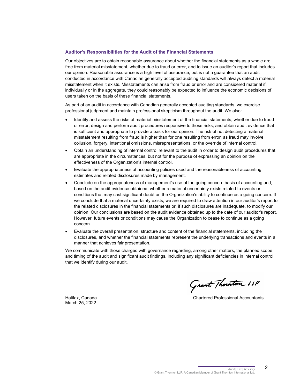#### **Auditor's Responsibilities for the Audit of the Financial Statements**

Our objectives are to obtain reasonable assurance about whether the financial statements as a whole are free from material misstatement, whether due to fraud or error, and to issue an auditor's report that includes our opinion. Reasonable assurance is a high level of assurance, but is not a guarantee that an audit conducted in accordance with Canadian generally accepted auditing standards will always detect a material misstatement when it exists. Misstatements can arise from fraud or error and are considered material if, individually or in the aggregate, they could reasonably be expected to influence the economic decisions of users taken on the basis of these financial statements.

As part of an audit in accordance with Canadian generally accepted auditing standards, we exercise professional judgment and maintain professional skepticism throughout the audit. We also:

- Identify and assess the risks of material misstatement of the financial statements, whether due to fraud or error, design and perform audit procedures responsive to those risks, and obtain audit evidence that is sufficient and appropriate to provide a basis for our opinion. The risk of not detecting a material misstatement resulting from fraud is higher than for one resulting from error, as fraud may involve collusion, forgery, intentional omissions, misrepresentations, or the override of internal control.
- Obtain an understanding of internal control relevant to the audit in order to design audit procedures that are appropriate in the circumstances, but not for the purpose of expressing an opinion on the effectiveness of the Organization's internal control.
- Evaluate the appropriateness of accounting policies used and the reasonableness of accounting estimates and related disclosures made by management.
- Conclude on the appropriateness of management's use of the going concern basis of accounting and, based on the audit evidence obtained, whether a material uncertainty exists related to events or conditions that may cast significant doubt on the Organization's ability to continue as a going concern. If we conclude that a material uncertainty exists, we are required to draw attention in our auditor's report to the related disclosures in the financial statements or, if such disclosures are inadequate, to modify our opinion. Our conclusions are based on the audit evidence obtained up to the date of our auditor's report. However, future events or conditions may cause the Organization to cease to continue as a going concern.
- Evaluate the overall presentation, structure and content of the financial statements, including the disclosures, and whether the financial statements represent the underlying transactions and events in a manner that achieves fair presentation.

We communicate with those charged with governance regarding, among other matters, the planned scope and timing of the audit and significant audit findings, including any significant deficiencies in internal control that we identify during our audit.

March 25, 2022

Grant Thouston LLP

Halifax, Canada Chartered Professional Accountants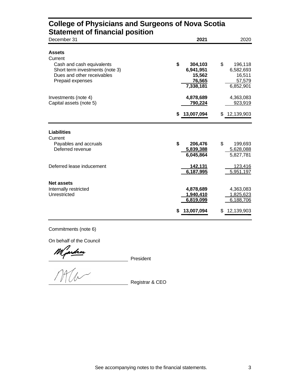## **College of Physicians and Surgeons of Nova Scotia Statement of financial position**

| December 31                                                                                                                                | 2021                                                           | 2020                                                           |
|--------------------------------------------------------------------------------------------------------------------------------------------|----------------------------------------------------------------|----------------------------------------------------------------|
| <b>Assets</b><br>Current<br>Cash and cash equivalents<br>Short term investments (note 3)<br>Dues and other receivables<br>Prepaid expenses | \$<br>304,103<br>6,941,951<br>15,562<br>76,565<br>7,338,181    | \$<br>196,118<br>6,582,693<br>16,511<br>57,579<br>6,852,901    |
| Investments (note 4)<br>Capital assets (note 5)                                                                                            | 4,878,689<br>790,224<br>13,007,094<br>\$                       | 4,363,083<br>923,919<br>12,139,903<br>\$                       |
| <b>Liabilities</b><br>Current<br>Payables and accruals<br>Deferred revenue<br>Deferred lease inducement                                    | \$<br>206,476<br>5,839,388<br>6,045,864<br>142,131             | \$<br>199,693<br>5,628,088<br>5,827,781<br>123,416             |
| <b>Net assets</b><br>Internally restricted<br>Unrestricted                                                                                 | 6,187,995<br>4,878,689<br>1,940,410<br>6,819,099<br>13,007,094 | 5,951,197<br>4,363,083<br>1,825,623<br>6,188,706<br>12,139,903 |

Commitments (note 6)

On behalf of the Council

 $\frac{M\sqrt{mL}}{M}$ President

Registrar & CEO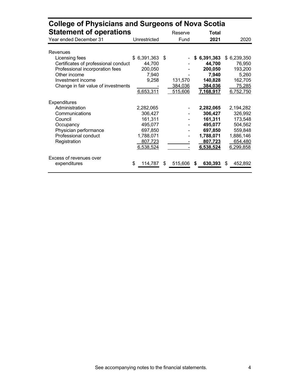| <b>College of Physicians and Surgeons of Nova Scotia</b> |                 |              |         |              |                |  |  |
|----------------------------------------------------------|-----------------|--------------|---------|--------------|----------------|--|--|
| <b>Statement of operations</b>                           | Reserve         |              | Total   |              |                |  |  |
| Year ended December 31                                   | Unrestricted    |              | Fund    | 2021         | 2020           |  |  |
|                                                          |                 |              |         |              |                |  |  |
| Revenues<br>Licensing fees                               | 6,391,363<br>\$ | \$           |         | 6,391,363    | 6,239,350<br>S |  |  |
| Certificates of professional conduct                     | 44,700          |              |         | 44,700       | 76,950         |  |  |
| Professional incorporation fees                          | 200,050         |              |         | 200,050      | 193,200        |  |  |
| Other income                                             | 7,940           |              |         | 7,940        | 5,260          |  |  |
| Investment income                                        | 9,258           |              | 131,570 | 140,828      | 162,705        |  |  |
| Change in fair value of investments                      |                 | 384,036      |         | 384,036      | 75,285         |  |  |
|                                                          | 6,653,311       | 515,606      |         | 7,168,917    | 6,752,750      |  |  |
| <b>Expenditures</b>                                      |                 |              |         |              |                |  |  |
| Administration                                           | 2,282,065       |              |         | 2,282,065    | 2,194,282      |  |  |
| Communications                                           | 306,427         |              |         | 306,427      | 326,992        |  |  |
| Council                                                  | 161,311         |              |         | 161,311      | 173,548        |  |  |
| Occupancy                                                | 495,077         |              |         | 495,077      | 504,562        |  |  |
| Physician performance                                    | 697,850         |              |         | 697,850      | 559,848        |  |  |
| Professional conduct                                     | 1,788,071       |              |         | 1,788,071    | 1,886,146      |  |  |
| Registration                                             | 807,723         |              |         | 807,723      | 654,480        |  |  |
|                                                          | 6,538,524       |              |         | 6,538,524    | 6,299,858      |  |  |
| Excess of revenues over                                  |                 |              |         |              |                |  |  |
| expenditures                                             | \$<br>114,787   | 515,606<br>S |         | 630,393<br>S | 452,892<br>S   |  |  |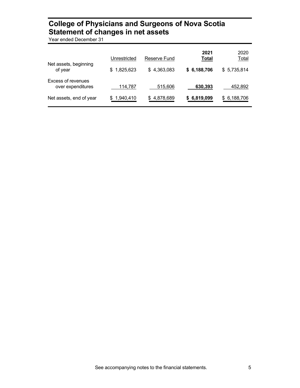## **College of Physicians and Surgeons of Nova Scotia Statement of changes in net assets**

Year ended December 31

| Net assets, beginning                   | Unrestricted   | Reserve Fund | 2021<br><b>Total</b> | 2020<br>Total |
|-----------------------------------------|----------------|--------------|----------------------|---------------|
| of year                                 | 1,825,623<br>S | \$4,363,083  | \$6,188,706          | \$5,735,814   |
| Excess of revenues<br>over expenditures | 114,787        | 515,606      | 630,393              | 452,892       |
| Net assets, end of year                 | 1,940,410      | 4,878,689    | 6,819,099<br>\$      | 6,188,706     |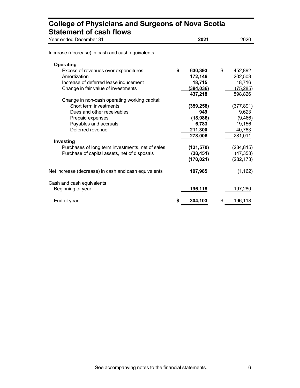### **College of Physicians and Surgeons of Nova Scotia Statement of cash flows**

| <b>ULALGITIGHT OF CASH HOWS</b><br>Year ended December 31 | 2021          | 2020             |
|-----------------------------------------------------------|---------------|------------------|
| Increase (decrease) in cash and cash equivalents          |               |                  |
| <b>Operating</b>                                          |               |                  |
| Excess of revenues over expenditures                      | \$<br>630,393 | \$<br>452,892    |
| Amortization                                              | 172,146       | 202,503          |
| Increase of deferred lease inducement                     | 18,715        | 18,716           |
| Change in fair value of investments                       | (384, 036)    | (75, 285)        |
|                                                           | 437,218       | 598,826          |
| Change in non-cash operating working capital:             |               |                  |
| Short term investments                                    | (359, 258)    | (377, 891)       |
| Dues and other receivables                                | 949           | 9,623            |
| Prepaid expenses                                          | (18, 986)     | (9, 466)         |
| Payables and accruals                                     | 6,783         | 19,156           |
| Deferred revenue                                          | 211,300       | 40,763           |
|                                                           | 278,006       | 281,011          |
| Investing                                                 |               |                  |
| Purchases of long term investments, net of sales          | (131, 570)    | (234, 815)       |
| Purchase of capital assets, net of disposals              | (38, 451)     | (47, 358)        |
|                                                           | (170,021)     | <u>(282,173)</u> |
|                                                           |               |                  |
| Net increase (decrease) in cash and cash equivalents      | 107,985       | (1, 162)         |
|                                                           |               |                  |
| Cash and cash equivalents                                 |               |                  |
| Beginning of year                                         | 196,118       | 197,280          |
|                                                           |               |                  |
| End of year                                               | 304,103       | \$<br>196,118    |
|                                                           |               |                  |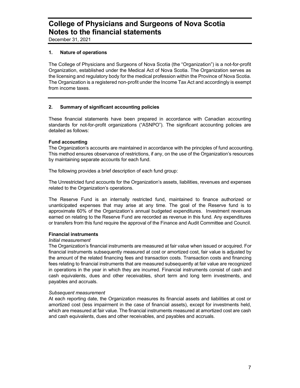December 31, 2021

#### **1. Nature of operations**

The College of Physicians and Surgeons of Nova Scotia (the "Organization") is a not-for-profit Organization, established under the Medical Act of Nova Scotia. The Organization serves as the licensing and regulatory body for the medical profession within the Province of Nova Scotia. The Organization is a registered non-profit under the Income Tax Act and accordingly is exempt from income taxes.

#### **2. Summary of significant accounting policies**

These financial statements have been prepared in accordance with Canadian accounting standards for not-for-profit organizations ("ASNPO"). The significant accounting policies are detailed as follows:

#### **Fund accounting**

The Organization's accounts are maintained in accordance with the principles of fund accounting. This method ensures observance of restrictions, if any, on the use of the Organization's resources by maintaining separate accounts for each fund.

The following provides a brief description of each fund group:

The Unrestricted fund accounts for the Organization's assets, liabilities, revenues and expenses related to the Organization's operations.

The Reserve Fund is an internally restricted fund, maintained to finance authorized or unanticipated expenses that may arise at any time. The goal of the Reserve fund is to approximate 60% of the Organization's annual budgeted expenditures. Investment revenues earned on relating to the Reserve Fund are recorded as revenue in this fund. Any expenditures or transfers from this fund require the approval of the Finance and Audit Committee and Council.

#### **Financial instruments**

#### *Initial measurement*

The Organization's financial instruments are measured at fair value when issued or acquired. For financial instruments subsequently measured at cost or amortized cost, fair value is adjusted by the amount of the related financing fees and transaction costs. Transaction costs and financing fees relating to financial instruments that are measured subsequently at fair value are recognized in operations in the year in which they are incurred. Financial instruments consist of cash and cash equivalents, dues and other receivables, short term and long term investments, and payables and accruals.

#### *Subsequent measurement*

At each reporting date, the Organization measures its financial assets and liabilities at cost or amortized cost (less impairment in the case of financial assets), except for investments held, which are measured at fair value. The financial instruments measured at amortized cost are cash and cash equivalents, dues and other receivables, and payables and accruals.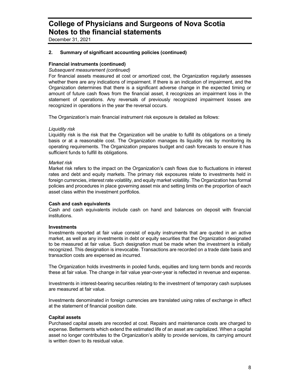December 31, 2021

#### **2. Summary of significant accounting policies (continued)**

#### **Financial instruments (continued)**

#### *Subsequent measurement (continued)*

For financial assets measured at cost or amortized cost, the Organization regularly assesses whether there are any indications of impairment. If there is an indication of impairment, and the Organization determines that there is a significant adverse change in the expected timing or amount of future cash flows from the financial asset, it recognizes an impairment loss in the statement of operations. Any reversals of previously recognized impairment losses are recognized in operations in the year the reversal occurs.

The Organization's main financial instrument risk exposure is detailed as follows:

#### *Liquidity risk*

Liquidity risk is the risk that the Organization will be unable to fulfill its obligations on a timely basis or at a reasonable cost. The Organization manages its liquidity risk by monitoring its operating requirements. The Organization prepares budget and cash forecasts to ensure it has sufficient funds to fulfill its obligations.

#### *Market risk*

Market risk refers to the impact on the Organization's cash flows due to fluctuations in interest rates and debt and equity markets. The primary risk exposures relate to investments held in foreign currencies, interest rate volatility, and equity market volatility. The Organization has formal policies and procedures in place governing asset mix and setting limits on the proportion of each asset class within the investment portfolios.

#### **Cash and cash equivalents**

Cash and cash equivalents include cash on hand and balances on deposit with financial institutions.

#### **Investments**

Investments reported at fair value consist of equity instruments that are quoted in an active market, as well as any investments in debt or equity securities that the Organization designated to be measured at fair value. Such designation must be made when the investment is initially recognized. This designation is irrevocable. Transactions are recorded on a trade date basis and transaction costs are expensed as incurred.

The Organization holds investments in pooled funds, equities and long term bonds and records these at fair value. The change in fair value year-over-year is reflected in revenue and expense.

Investments in interest-bearing securities relating to the investment of temporary cash surpluses are measured at fair value.

Investments denominated in foreign currencies are translated using rates of exchange in effect at the statement of financial position date.

#### **Capital assets**

Purchased capital assets are recorded at cost. Repairs and maintenance costs are charged to expense. Betterments which extend the estimated life of an asset are capitalized. When a capital asset no longer contributes to the Organization's ability to provide services, its carrying amount is written down to its residual value.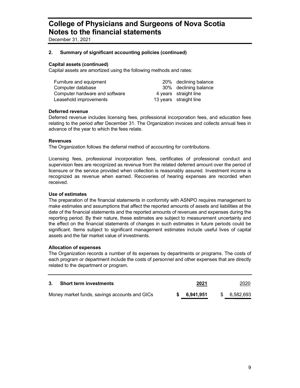December 31, 2021

#### **2. Summary of significant accounting policies (continued)**

#### **Capital assets (continued)**

Capital assets are amortized using the following methods and rates:

| Furniture and equipment        | 20% declining balance  |
|--------------------------------|------------------------|
| Computer database              | 30% declining balance  |
| Computer hardware and software | 4 years straight line  |
| Leasehold improvements         | 13 years straight line |

#### **Deferred revenue**

Deferred revenue includes licensing fees, professional incorporation fees, and education fees relating to the period after December 31. The Organization invoices and collects annual fees in advance of the year to which the fees relate.

#### **Revenues**

The Organization follows the deferral method of accounting for contributions.

Licensing fees, professional incorporation fees, certificates of professional conduct and supervision fees are recognized as revenue from the related deferred amount over the period of licensure or the service provided when collection is reasonably assured. Investment income is recognized as revenue when earned. Recoveries of hearing expenses are recorded when received.

#### **Use of estimates**

The preparation of the financial statements in conformity with ASNPO requires management to make estimates and assumptions that affect the reported amounts of assets and liabilities at the date of the financial statements and the reported amounts of revenues and expenses during the reporting period. By their nature, these estimates are subject to measurement uncertainty and the effect on the financial statements of changes in such estimates in future periods could be significant. Items subject to significant management estimates include useful lives of capital assets and the fair market value of investments.

#### **Allocation of expenses**

The Organization records a number of its expenses by departments or programs. The costs of each program or department include the costs of personnel and other expenses that are directly related to the department or program.

| <b>Short term investments</b>                 |    | 2021      |    | <u>2020</u> |
|-----------------------------------------------|----|-----------|----|-------------|
| Money market funds, savings accounts and GICs | S. | 6.941.951 | S. | 6.582.693   |